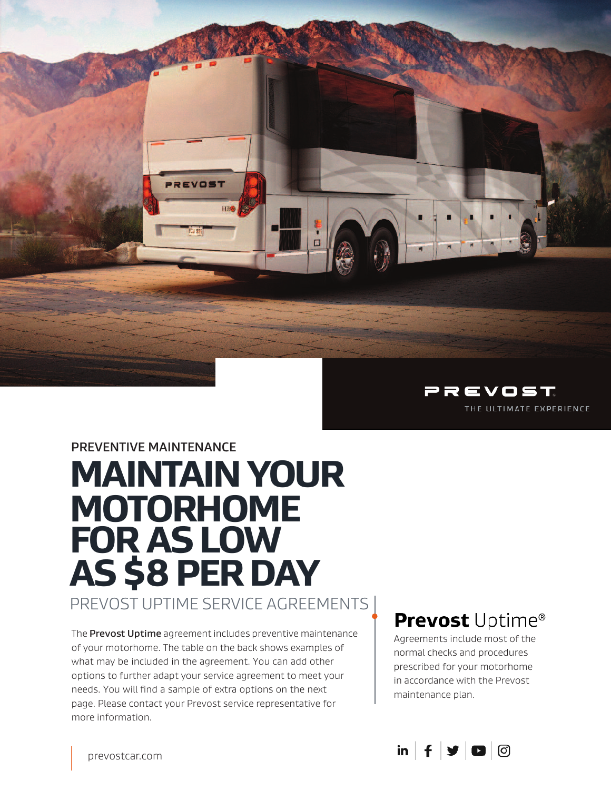

## **PREVENTIVE MAINTENANCE MAINTAIN YOUR MOTORHOME FOR AS LOW AS \$8 PER DAY**

REVOST

PREVOST UPTIME SERVICE AGREEMENTS

The **Prevost Uptime** agreement includes preventive maintenance of your motorhome. The table on the back shows examples of what may be included in the agreement. You can add other options to further adapt your service agreement to meet your needs. You will find a sample of extra options on the next page. Please contact your Prevost service representative for more information.

### **Prevost Uptime®**

Agreements include most of the normal checks and procedures prescribed for your motorhome in accordance with the Prevost maintenance plan.